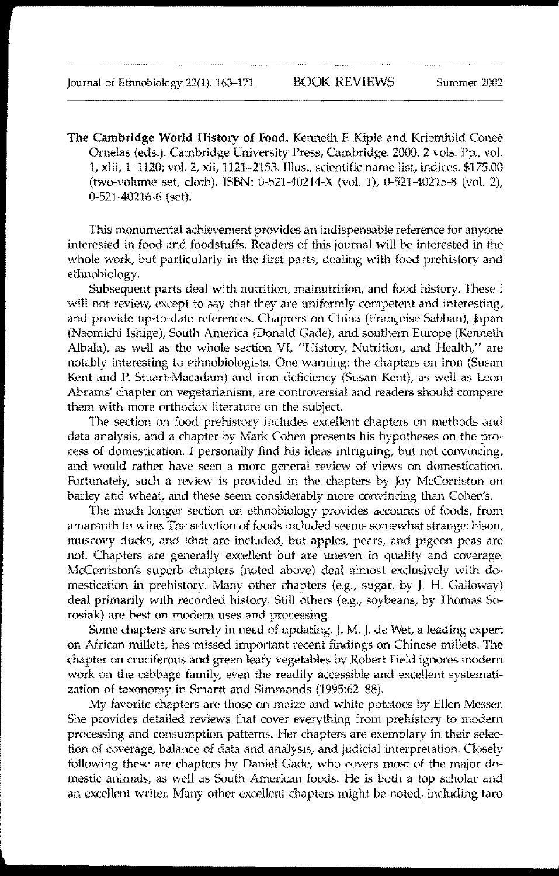The Cambridge World History of Food. Kenneth F. Kiple and Kriemhild Coneè Ornelas (eds.). Cambridge University Press, Cambridge. 2000. 2 vols. Pp., vol. 1, xlii, 1-1120; vol. 2, xii, 1121-2153. lllus., scientific name list, indices. \$175.00 (two-volume set, cloth). ISBN: 0-521-40214-X (vol. 1), 0-521-40215-8 (vol. 2), 0-521-40216-6 (set).

This monumental achievement provides an indispensable reference for anyone interested in food and foodstuffs. Readers of this journal will be interested in the whole work, but particularly in the first parts, dealing with food prehistory and etimobiology.

Subsequent parts deal with nutrition, malnutrition, and food history. These I will not review, except to say that they are uniformly competent and interesting, and provide up-to-date references. Chapters on China (Françoise Sabban), Japan (Naomichi Ishige), South America (Donald Gade), and southern Europe (Kennelh Albala), as well as the whole section VI, "History, Nutrition, and Health," are notably interesting to ethnobiologists. One warning: the chapters on iron (Susan Kent and P. Stuart-Macadam) and iron deficiency (Susan Kent), as well as Leon Abrams' chapter on vegetarianism, are controversial and readers should compare them with more orthodox literature on the subject

The section on food prehistory includes excellent chapters on methods and data analysis, and a chapter by Mark Cohen presents his hypotheses on the process of domestication. I personally find his ideas intriguing, but not convincing, and would rather have seen a more general review of views on domestication. Fortunately, such a review is provided in the chapters by Joy McCorriston on barley and wheat, and these seem considerably more convincing than Cohen's.

The much longer section on ethnobiology provides accounts of foods, from amaranth to wine. The selection of foods included seems somewhat strange: bison, muscovy ducks, and khat are included, but apples, pears, and pigeon peas are not. Chapters are generally excellent but are uneven in quality and coverage. McCorriston's superb chaplers (noted above) deal almost exclusively with domestication in prehistory. Many other chapters (e.g., sugar, by J. H. Galloway) deal primarily with recorded history. Still others (e.g., soybeans, by Thomas Sorosiak) are best on modem uses and processing.

Some chapters are sorely in need of updating. J. M. J. de Wet, a leading expert on African millets, has missed important recent findings on Chinese millets. The chapter on cruciferous and green leafy vegetables by Robert Field ignores modern work on the cabbage family, even the readily accessible and excellent systematization of taxonomy in Smartt and Simmonds (1995:62-88).

My favorite chapters are those on maize and white potatoes by Ellen Messer. She provides detailed reviews that cover everything from prehistory to modern processing and consumption patterns. Her chapters are exemplary in their selection of coverage, balance of data and analysis, and judicial interpretation. Closely following these are chapters by Daniel Gade, who covers most of the major domestic animals, as well as South American foods. He is both a top scholar and an excellent writer. Many other excellent chapters might be noted, including taro